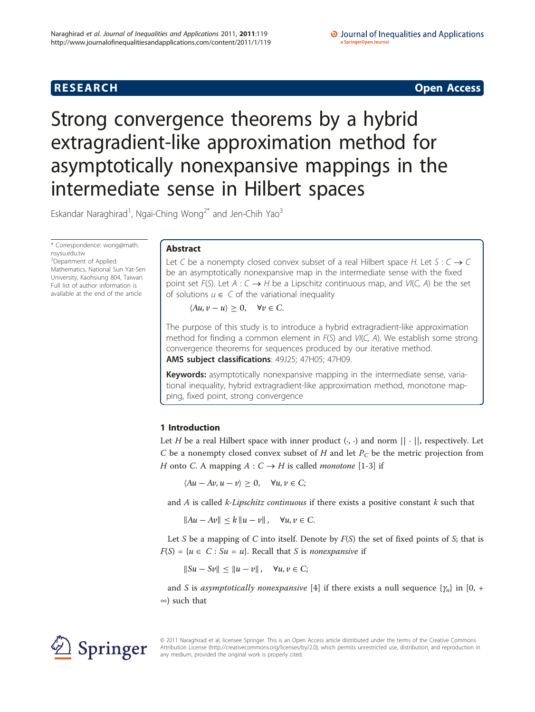**RESEARCH CONSTRUCTION CONSTRUCTS** 

# Strong convergence theorems by a hybrid extragradient-like approximation method for asymptotically nonexpansive mappings in the intermediate sense in Hilbert spaces

Eskandar Naraghirad<sup>1</sup>, Ngai-Ching Wong<sup>2\*</sup> and Jen-Chih Yao<sup>3</sup>

\* Correspondence: [wong@math.](mailto:wong@math.nsysu.edu.tw) [nsysu.edu.tw](mailto:wong@math.nsysu.edu.tw)

<sup>2</sup>Department of Applied Mathematics, National Sun Yat-Sen University, Kaohsiung 804, Taiwan Full list of author information is available at the end of the article

# Abstract

Let C be a nonempty closed convex subset of a real Hilbert space H. Let  $S: C \rightarrow C$ be an asymptotically nonexpansive map in the intermediate sense with the fixed point set  $F(S)$ . Let  $A: C \rightarrow H$  be a Lipschitz continuous map, and  $VI(C, A)$  be the set of solutions  $u \in C$  of the variational inequality

 $\langle Au, v - u \rangle \geq 0, \quad \forall v \in C.$ 

The purpose of this study is to introduce a hybrid extragradient-like approximation method for finding a common element in  $F(S)$  and  $V/(C, A)$ . We establish some strong convergence theorems for sequences produced by our iterative method. AMS subject classifications: 49J25; 47H05; 47H09.

Keywords: asymptotically nonexpansive mapping in the intermediate sense, variational inequality, hybrid extragradient-like approximation method, monotone mapping, fixed point, strong convergence

# 1 Introduction

Let H be a real Hilbert space with inner product  $\langle \cdot, \cdot \rangle$  and norm  $|| \cdot ||$ , respectively. Let C be a nonempty closed convex subset of H and let  $P_C$  be the metric projection from H onto C. A mapping  $A: C \rightarrow H$  is called *monotone* [\[1-3](#page-8-0)] if

 $\langle Au - Av, u - v \rangle \geq 0, \quad \forall u, v \in C;$ 

and  $A$  is called  $k$ -Lipschitz continuous if there exists a positive constant  $k$  such that

 $||Au - Av|| \le k ||u - v||$ , ∀*u*, *v* ∈ *C*.

Let S be a mapping of C into itself. Denote by  $F(S)$  the set of fixed points of S; that is  $F(S) = \{u \in C : Su = u\}$ . Recall that S is nonexpansive if

 $||Su - Sv|| \le ||u - v||$ , ∀*u*, *v* ∈ *C*;

and S is asymptotically nonexpansive [[4\]](#page-8-0) if there exists a null sequence  $\{\gamma_n\}$  in [0, + ∞) such that



© 2011 Naraghirad et al; licensee Springer. This is an Open Access article distributed under the terms of the Creative Commons Attribution License [\(http://creativecommons.org/licenses/by/2.0](http://creativecommons.org/licenses/by/2.0)), which permits unrestricted use, distribution, and reproduction in any medium, provided the original work is properly cited.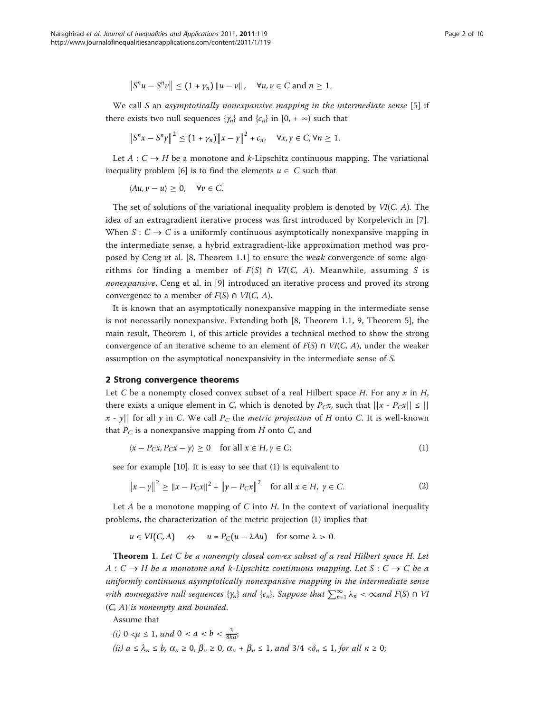$$
||S^n u - S^n v|| \le (1 + \gamma_n) ||u - v||
$$
,  $\forall u, v \in C$  and  $n \ge 1$ .

We call S an asymptotically nonexpansive mapping in the intermediate sense [\[5](#page-9-0)] if there exists two null sequences  $\{\gamma_n\}$  and  $\{c_n\}$  in  $[0, +\infty)$  such that

$$
\left\|S^{n}x - S^{n}\gamma\right\|^{2} \leq (1 + \gamma_{n})\left\|x - \gamma\right\|^{2} + c_{n}, \quad \forall x, \gamma \in C, \forall n \geq 1.
$$

Let  $A: C \rightarrow H$  be a monotone and k-Lipschitz continuous mapping. The variational inequality problem [\[6](#page-9-0)] is to find the elements  $u \in C$  such that

 $\langle Au, v - u \rangle \geq 0, \quad \forall v \in C.$ 

The set of solutions of the variational inequality problem is denoted by  $VI(C, A)$ . The idea of an extragradient iterative process was first introduced by Korpelevich in [[7](#page-9-0)]. When  $S: C \to C$  is a uniformly continuous asymptotically nonexpansive mapping in the intermediate sense, a hybrid extragradient-like approximation method was proposed by Ceng et al. [8, Theorem 1.1] to ensure the weak convergence of some algorithms for finding a member of  $F(S) \cap VI(C, A)$ . Meanwhile, assuming S is nonexpansive, Ceng et al. in [\[9](#page-9-0)] introduced an iterative process and proved its strong convergence to a member of  $F(S) \cap VI(C, A)$ .

It is known that an asymptotically nonexpansive mapping in the intermediate sense is not necessarily nonexpansive. Extending both [8, Theorem 1.1, 9, Theorem 5], the main result, Theorem 1, of this article provides a technical method to show the strong convergence of an iterative scheme to an element of  $F(S) \cap VI(C, A)$ , under the weaker assumption on the asymptotical nonexpansivity in the intermediate sense of S.

## 2 Strong convergence theorems

Let C be a nonempty closed convex subset of a real Hilbert space H. For any  $x$  in H, there exists a unique element in C, which is denoted by  $P_Cx$ , such that  $||x - P_Cx|| \le ||x||$ x - y|| for all y in C. We call  $P_C$  the metric projection of H onto C. It is well-known that  $P_C$  is a nonexpansive mapping from  $H$  onto  $C$ , and

$$
\langle x - P_C x, P_C x - y \rangle \ge 0 \quad \text{for all } x \in H, y \in C; \tag{1}
$$

see for example [\[10](#page-9-0)]. It is easy to see that (1) is equivalent to

$$
||x - y||^2 \ge ||x - P_C x||^2 + ||y - P_C x||^2 \quad \text{for all } x \in H, \ y \in C. \tag{2}
$$

Let A be a monotone mapping of C into H. In the context of variational inequality problems, the characterization of the metric projection (1) implies that

 $u \in VI(C, A) \Leftrightarrow u = P_C(u - \lambda Au)$  for some  $\lambda > 0$ .

Theorem 1. Let C be a nonempty closed convex subset of a real Hilbert space H. Let  $A: C \to H$  be a monotone and k-Lipschitz continuous mapping. Let  $S: C \to C$  be a uniformly continuous asymptotically nonexpansive mapping in the intermediate sense with nonnegative null sequences { $\gamma_n$ } and { $c_n$ }. Suppose that  $\sum_{n=1}^{\infty} \lambda_n < \infty$ and F(S)  $\cap$  V1<br>( $G_n(\lambda)$ ) (C, A) is nonempty and bounded.

Assume that

(*i*)  $0 \le \mu \le 1$ , and  $0 \le a \le b \le \frac{3}{8k\mu}$ ; (ii)  $a \leq \lambda_n \leq b$ ,  $\alpha_n \geq 0$ ,  $\beta_n \geq 0$ ,  $\alpha_n + \beta_n \leq 1$ , and  $3/4 < \delta_n \leq 1$ , for all  $n \geq 0$ ;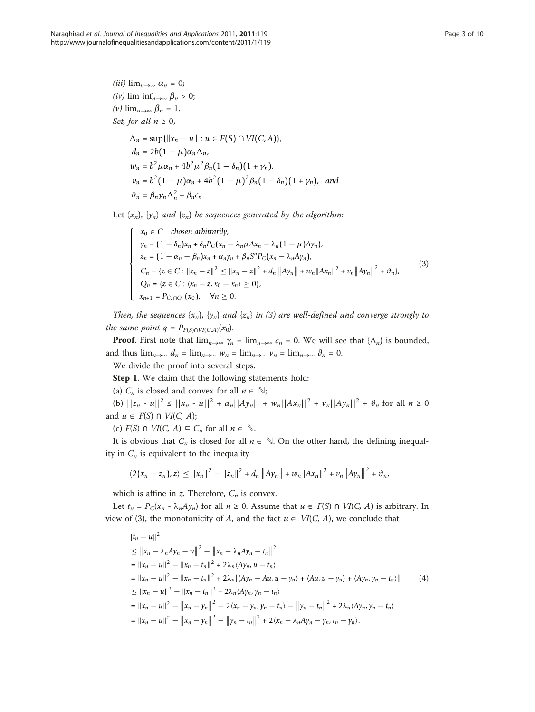$$
(iii) \lim_{n \to \infty} \alpha_n = 0;
$$
  
\n
$$
(iv) \lim_{n \to \infty} \beta_n > 0;
$$
  
\n
$$
(v) \lim_{n \to \infty} \beta_n = 1.
$$
  
\nSet, for all  $n \ge 0$ ,  
\n
$$
\Delta_n = \sup\{\|x_n - u\| : u \in F(S) \cap VI(C, A)\},
$$
  
\n
$$
d_n = 2b(1 - \mu)\alpha_n \Delta_n,
$$
  
\n
$$
w_n = b^2 \mu \alpha_n + 4b^2 \mu^2 \beta_n (1 - \delta_n)(1 + \gamma_n),
$$

$$
v_n = b^2 (1 - \mu) \alpha_n + 4b^2 (1 - \mu)^2 \beta_n (1 - \delta_n) (1 + \gamma_n),
$$
 and  

$$
\vartheta_n = \beta_n \gamma_n \Delta_n^2 + \beta_n c_n.
$$

Let  $\{x_n\}$ ,  $\{y_n\}$  and  $\{z_n\}$  be sequences generated by the algorithm:

$$
\begin{cases}\nx_0 \in C \quad \text{chosen arbitrarily,} \\
y_n = (1 - \delta_n)x_n + \delta_n P_C(x_n - \lambda_n \mu A x_n - \lambda_n (1 - \mu) A y_n), \\
z_n = (1 - \alpha_n - \beta_n)x_n + \alpha_n y_n + \beta_n S^n P_C(x_n - \lambda_n A y_n), \\
C_n = \{z \in C : ||z_n - z||^2 \le ||x_n - z||^2 + d_n ||A y_n|| + w_n ||A x_n||^2 + v_n ||A y_n||^2 + \vartheta_n\}, \\
Q_n = \{z \in C : \langle x_n - z, x_0 - x_n \rangle \ge 0\}, \\
x_{n+1} = P_{C_n \cap Q_n}(x_0), \quad \forall n \ge 0.\n\end{cases} \tag{3}
$$

Then, the sequences  $\{x_n\}$ ,  $\{y_n\}$  and  $\{z_n\}$  in (3) are well-defined and converge strongly to the same point  $q = P_{F(S) \cap VI(C,A)}(x_0)$ .

**Proof.** First note that  $\lim_{n\to\infty} \gamma_n = \lim_{n\to\infty} c_n = 0$ . We will see that  $\{\Delta_n\}$  is bounded, and thus  $\lim_{n\to\infty} d_n = \lim_{n\to\infty} w_n = \lim_{n\to\infty} v_n = \lim_{n\to\infty} \vartheta_n = 0.$ 

We divide the proof into several steps.

Step 1. We claim that the following statements hold:

(a)  $C_n$  is closed and convex for all  $n \in \mathbb{N}$ ;<br>(b)  $||z_n - u||^2 \le ||x_n - u||^2 + d_n||Ay_n|| + w_n||Ax_n||^2 + v_n||Ay_n||^2 + \vartheta_n$  for all  $n \ge 0$ and  $u \in F(S) \cap VI(C, A);$ 

(c)  $F(S) \cap VI(C, A) \subseteq C_n$  for all  $n \in \mathbb{N}$ .

It is obvious that  $C_n$  is closed for all  $n \in \mathbb{N}$ . On the other hand, the defining inequality in  $C_n$  is equivalent to the inequality

$$
\langle 2(x_n - z_n), z \rangle \leq ||x_n||^2 - ||z_n||^2 + d_n ||Ay_n|| + w_n ||Ax_n||^2 + v_n ||Ay_n||^2 + \vartheta_n
$$

which is affine in z. Therefore,  $C_n$  is convex.

Let  $t_n = P_C(x_n - \lambda_n A y_n)$  for all  $n \ge 0$ . Assume that  $u \in F(S) \cap VI(C, A)$  is arbitrary. In view of (3), the monotonicity of A, and the fact  $u \in VI(C, A)$ , we conclude that

$$
||t_{n} - u||^{2}
$$
  
\n
$$
\leq ||x_{n} - \lambda_{n}Ay_{n} - u||^{2} - ||x_{n} - \lambda_{n}Ay_{n} - t_{n}||^{2}
$$
  
\n
$$
= ||x_{n} - u||^{2} - ||x_{n} - t_{n}||^{2} + 2\lambda_{n}\langle Ay_{n}, u - t_{n}\rangle
$$
  
\n
$$
= ||x_{n} - u||^{2} - ||x_{n} - t_{n}||^{2} + 2\lambda_{n}[\langle Ay_{n}, u - tu, u - y_{n}\rangle + \langle Au, u - y_{n}\rangle + \langle Ay_{n}, y_{n} - t_{n}\rangle]
$$
  
\n
$$
\leq ||x_{n} - u||^{2} - ||x_{n} - t_{n}||^{2} + 2\lambda_{n}\langle Ay_{n}, y_{n} - t_{n}\rangle
$$
  
\n
$$
= ||x_{n} - u||^{2} - ||x_{n} - y_{n}||^{2} - 2\langle x_{n} - y_{n}, y_{n} - t_{n}\rangle - ||y_{n} - t_{n}||^{2} + 2\lambda_{n}\langle Ay_{n}, y_{n} - t_{n}\rangle
$$
  
\n
$$
= ||x_{n} - u||^{2} - ||x_{n} - y_{n}||^{2} - ||y_{n} - t_{n}||^{2} + 2\langle x_{n} - \lambda_{n}Ay_{n} - y_{n}, t_{n} - y_{n}\rangle.
$$
 (4)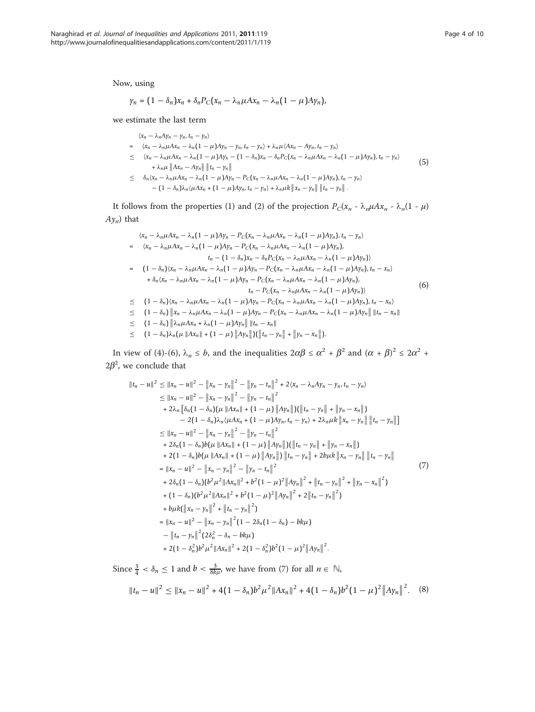Now, using

$$
\gamma_n = (1 - \delta_n)x_n + \delta_n P_C(x_n - \lambda_n \mu Ax_n - \lambda_n (1 - \mu)A\gamma_n),
$$

we estimate the last term

$$
\langle x_n - \lambda_n A y_n - y_n, t_n - y_n \rangle
$$
\n
$$
= \langle x_n - \lambda_n \mu A x_n - \lambda_n (1 - \mu) A y_n - y_n, t_n - y_n \rangle + \lambda_n \mu \langle A x_n - A y_n, t_n - y_n \rangle
$$
\n
$$
\leq \langle x_n - \lambda_n \mu A x_n - \lambda_n (1 - \mu) A y_n - (1 - \delta_n) x_n - \delta_n P_C(x_n - \lambda_n \mu A x_n - \lambda_n (1 - \mu) A y_n), t_n - y_n \rangle
$$
\n
$$
+ \lambda_n \mu \| A x_n - A y_n \| \| t_n - y_n \|
$$
\n
$$
\leq \delta_n \langle x_n - \lambda_n \mu A x_n - \lambda_n (1 - \mu) A y_n - P_C(x_n - \lambda_n \mu A x_n - \lambda_n (1 - \mu) A y_n), t_n - y_n \rangle
$$
\n
$$
- (1 - \delta_n) \lambda_n \langle \mu A x_n + (1 - \mu) A y_n, t_n - y_n \rangle + \lambda_n \mu k \| x_n - y_n \| \| t_n - y_n \|.
$$
\n
$$
(5)
$$

It follows from the properties (1) and (2) of the projection  $P_C(x_n - \lambda_n \mu A x_n - \lambda_n(1 - \mu))$  $Ay_n$ ) that

$$
\langle x_n - \lambda_n \mu Ax_n - \lambda_n (1 - \mu) Ay_n - P_C(x_n - \lambda_n \mu Ax_n - \lambda_n (1 - \mu) Ay_n), t_n - y_n \rangle
$$
\n
$$
= \langle x_n - \lambda_n \mu Ax_n - \lambda_n (1 - \mu) Ay_n - P_C(x_n - \lambda_n \mu Ax_n - \lambda_n (1 - \mu) Ay_n), t_n - (1 - \delta_n) x_n - \delta_n P_C(x_n - \lambda_n \mu Ax_n - \lambda_n (1 - \mu) Ay_n) \rangle
$$
\n
$$
= (1 - \delta_n) (x_n - \lambda_n \mu Ax_n - \lambda_n (1 - \mu) Ay_n - P_C(x_n - \lambda_n \mu Ax_n - \lambda_n (1 - \mu) Ay_n), t_n - x_n) \rangle
$$
\n
$$
+ \delta_n (x_n - \lambda_n \mu Ax_n - \lambda_n (1 - \mu) Ay_n - P_C(x_n - \lambda_n \mu Ax_n - \lambda_n (1 - \mu) Ay_n), t_n - x_n) \rangle
$$
\n
$$
= (1 - \delta_n) (x_n - \lambda_n \mu Ax_n - \lambda_n (1 - \mu) Ay_n - P_C(x_n - \lambda_n \mu Ax_n - \lambda_n (1 - \mu) Ay_n) \rangle
$$
\n
$$
\leq (1 - \delta_n) \|x_n - \lambda_n \mu Ax_n - \lambda_n (1 - \mu) Ay_n - P_C(x_n - \lambda_n \mu Ax_n - \lambda_n (1 - \mu) Ay_n), t_n - x_n) \rangle
$$
\n
$$
\leq (1 - \delta_n) \|x_n - \lambda_n \mu Ax_n - \lambda_n (1 - \mu) Ay_n - P_C(x_n - \lambda_n \mu Ax_n - \lambda_n (1 - \mu) Ay_n) \|t_n - x_n\|
$$
\n
$$
\leq (1 - \delta_n) \|x_n \mu Ax_n + \lambda_n (1 - \mu) Ay_n \| \|t_n - x_n\|
$$
\n
$$
\leq (1 - \delta_n) \|x_n \mu Ax_n + \lambda_n (1 - \mu) Ay_n \| \|t_n - x_n\|
$$
\n
$$
\leq (1 - \delta_n) \|x_n \mu Ax_n + \lambda_n (1 - \mu) Ay_n \| \|t_n - x_n\|
$$

In view of (4)-(6),  $\lambda_n \leq b$ , and the inequalities  $2\alpha\beta \leq \alpha^2 + \beta^2$  and  $(\alpha + \beta)^2 \leq 2\alpha^2 + 2^2$  $2\beta^2$ , we conclude that

$$
||t_{n}-u||^{2} \le ||x_{n}-u||^{2}-||x_{n}-y_{n}||^{2}-||y_{n}-t_{n}||^{2}+2\langle x_{n}-\lambda_{n}Ay_{n}-y_{n},t_{n}-y_{n}\rangle
$$
  
\n
$$
\le ||x_{n}-u||^{2}-||x_{n}-y_{n}||^{2}-||y_{n}-t_{n}||^{2}
$$
  
\n
$$
+2\lambda_{n}[\delta_{n}(1-\delta_{n})(\mu ||Ax_{n}||+(1-\mu)||Ay_{n}||)(||t_{n}-y_{n}||+||y_{n}-x_{n}||)
$$
  
\n
$$
-2(1-\delta_{n})\lambda_{n}\langle \mu Ax_{n}+(1-\mu)Ay_{n},t_{n}-y_{n}\rangle+2\lambda_{n}\mu k||x_{n}-y_{n}||[t_{n}-y_{n}||]
$$
  
\n
$$
\le ||x_{n}-u||^{2}-||x_{n}-y_{n}||^{2}-||y_{n}-t_{n}||^{2}
$$
  
\n
$$
+2\delta_{n}(1-\delta_{n})b(\mu ||Ax_{n}||+(1-\mu)||Ay_{n}||)(||t_{n}-y_{n}||+||y_{n}-x_{n}||)
$$
  
\n
$$
+2(1-\delta_{n})b(\mu ||Ax_{n}||+(1-\mu)||Ay_{n}||)(||t_{n}-y_{n}||+2b\mu k||x_{n}-y_{n}||||t_{n}-y_{n}||)
$$
  
\n
$$
+2(1-\delta_{n})b(\mu ||Ax_{n}||+(1-\mu)||Ay_{n}||)||t_{n}-y_{n}||+2b\mu k||x_{n}-y_{n}||||t_{n}-y_{n}||
$$
  
\n
$$
=||x_{n}-u||^{2}-||x_{n}-y_{n}||^{2}-||y_{n}-t_{n}||^{2}
$$
  
\n
$$
+2\delta_{n}(1-\delta_{n})(b^{2}\mu^{2}||Ax_{n}||^{2}+b^{2}(1-\mu)^{2}||Ay_{n}||^{2}+||t_{n}-y_{n}||^{2}+||y_{n}-x_{n}||^{2})
$$
  
\n
$$
+b\mu k(||x_{n}-y_{n}||^{2}+||t_{n}-y_{n}||^{2})
$$
  
\n
$$
+b\mu k(||x_{n}-y_{n}||^{2}+||
$$

Since  $\frac{3}{4} < \delta_n \le 1$  and  $b < \frac{3}{8k\mu}$ , we have from (7) for all  $n \in \mathbb{N}$ ,

$$
||t_n - u||^2 \le ||x_n - u||^2 + 4(1 - \delta_n)b^2\mu^2||Ax_n||^2 + 4(1 - \delta_n)b^2(1 - \mu)^2||Ay_n||^2. \quad (8)
$$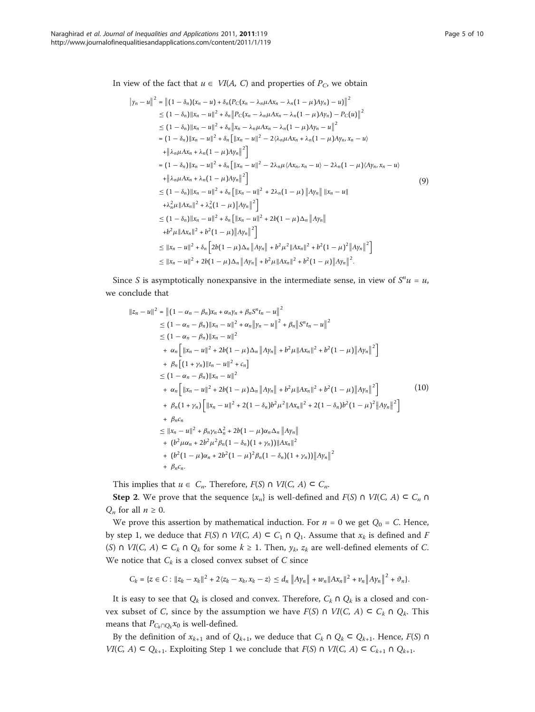In view of the fact that  $u \in VI(A, C)$  and properties of  $P_C$ , we obtain

$$
||y_n - u||^2 = ||(1 - \delta_n)(x_n - u) + \delta_n(P_C(x_n - \lambda_n \mu A x_n - \lambda_n (1 - \mu) A y_n) - u)||^2
$$
  
\n
$$
\leq (1 - \delta_n) ||x_n - u||^2 + \delta_n ||P_C(x_n - \lambda_n \mu A x_n - \lambda_n (1 - \mu) A y_n) - P_C(u)||^2
$$
  
\n
$$
\leq (1 - \delta_n) ||x_n - u||^2 + \delta_n ||x_n - \lambda_n \mu A x_n - \lambda_n (1 - \mu) A y_n - u||^2
$$
  
\n
$$
= (1 - \delta_n) ||x_n - u||^2 + \delta_n [||x_n - u||^2 - 2(\lambda_n \mu A x_n + \lambda_n (1 - \mu) A y_n, x_n - u)
$$
  
\n
$$
+ ||\lambda_n \mu A x_n + \lambda_n (1 - \mu) A y_n||^2 ]
$$
  
\n
$$
= (1 - \delta_n) ||x_n - u||^2 + \delta_n [||x_n - u||^2 - 2\lambda_n \mu \langle Ax_n, x_n - u \rangle - 2\lambda_n (1 - \mu) \langle Ay_n, x_n - u \rangle
$$
  
\n
$$
+ ||\lambda_n \mu A x_n + \lambda_n (1 - \mu) A y_n||^2 ]
$$
  
\n
$$
\leq (1 - \delta_n) ||x_n - u||^2 + \delta_n [||x_n - u||^2 + 2\lambda_n (1 - \mu) ||A y_n || ||x_n - u||
$$
  
\n
$$
+ \lambda_n^2 \mu ||Ax_n||^2 + \lambda_n^2 (1 - \mu) ||A y_n||^2 ]
$$
  
\n
$$
\leq (1 - \delta_n) ||x_n - u||^2 + \delta_n [||x_n - u||^2 + 2b(1 - \mu) \Delta_n ||A y_n||
$$
  
\n
$$
+ b^2 \mu ||Ax_n||^2 + b^2 (1 - \mu) ||A y_n||^2 ]
$$
  
\n
$$
\leq ||x_n - u||^2 + \delta_n [2b(1 - \mu) \Delta_n ||A y_n|| + b^2 \mu^2 ||Ax_n||^2 + b^2 (1 - \mu)^2 ||A y_n||^2 ]
$$
  
\n
$$
\leq ||x_n - u||^2 + 2b(1 - \mu) \Delta_n ||A y_n|| + b^2 \mu ||Ax_n||
$$

Since *S* is asymptotically nonexpansive in the intermediate sense, in view of  $S<sup>n</sup>u = u$ , we conclude that

$$
||z_{n} - u||^{2} = ||(1 - \alpha_{n} - \beta_{n})x_{n} + \alpha_{n}y_{n} + \beta_{n}S^{n}t_{n} - u||^{2}
$$
  
\n
$$
\leq (1 - \alpha_{n} - \beta_{n})||x_{n} - u||^{2} + \alpha_{n}||y_{n} - u||^{2} + \beta_{n}||S^{n}t_{n} - u||^{2}
$$
  
\n
$$
\leq (1 - \alpha_{n} - \beta_{n})||x_{n} - u||^{2}
$$
  
\n
$$
+ \alpha_{n} [||x_{n} - u||^{2} + 2b(1 - \mu)\Delta_{n}||Ay_{n}|| + b^{2}\mu||Ax_{n}||^{2} + b^{2}(1 - \mu)||Ay_{n}||^{2}]
$$
  
\n
$$
+ \beta_{n} [(1 + y_{n})||t_{n} - u||^{2} + c_{n}]
$$
  
\n
$$
\leq (1 - \alpha_{n} - \beta_{n})||x_{n} - u||^{2}
$$
  
\n
$$
+ \alpha_{n} [||x_{n} - u||^{2} + 2b(1 - \mu)\Delta_{n}||Ay_{n}|| + b^{2}\mu||Ax_{n}||^{2} + b^{2}(1 - \mu)||Ay_{n}||^{2}]
$$
  
\n
$$
+ \beta_{n}(1 + y_{n}) [||x_{n} - u||^{2} + 2(1 - \delta_{n})b^{2}\mu^{2}||Ax_{n}||^{2} + 2(1 - \delta_{n})b^{2}(1 - \mu)^{2}||Ay_{n}||^{2}]
$$
  
\n
$$
+ \beta_{n}c_{n}
$$
  
\n
$$
\leq ||x_{n} - u||^{2} + \beta_{n}y_{n}\Delta_{n}^{2} + 2b(1 - \mu)\alpha_{n}\Delta_{n}||Ay_{n}||
$$
  
\n
$$
+ (b^{2}(\mu\alpha_{n} + 2b^{2}\mu^{2}\beta_{n}(1 - \delta_{n})(1 + y_{n}))||Ax_{n}||^{2}
$$
  
\n
$$
+ (\beta_{n}c_{n}.
$$

This implies that  $u \in C_n$ . Therefore,  $F(S) \cap VI(C, A) \subseteq C_n$ .

**Step 2.** We prove that the sequence  $\{x_n\}$  is well-defined and  $F(S) \cap VI(C, A) \subseteq C_n \cap$  $Q_n$  for all  $n \geq 0$ .

We prove this assertion by mathematical induction. For  $n = 0$  we get  $Q_0 = C$ . Hence, by step 1, we deduce that  $F(S) \cap VI(C, A) \subseteq C_1 \cap Q_1$ . Assume that  $x_k$  is defined and F (S)  $\cap$  VI(C, A)  $\subset$  C<sub>k</sub>  $\cap$  Q<sub>k</sub> for some  $k \ge 1$ . Then,  $y_k$ ,  $z_k$  are well-defined elements of C. We notice that  $C_k$  is a closed convex subset of C since

 $C_k = \{z \in C : ||z_k - x_k||^2 + 2\langle z_k - x_k, x_k - z \rangle \le d_n ||Ay_n|| + w_n ||Ax_n||^2 + v_n ||Ay_n||^2 + \vartheta_n\}.$ 

It is easy to see that  $Q_k$  is closed and convex. Therefore,  $C_k \cap Q_k$  is a closed and convex subset of C, since by the assumption we have  $F(S) \cap VI(C, A) \subseteq C_k \cap Q_k$ . This means that  $P_{C_k \cap Q_k} x_0$  is well-defined.

By the definition of  $x_{k+1}$  and of  $Q_{k+1}$ , we deduce that  $C_k \cap Q_k \subset Q_{k+1}$ . Hence,  $F(S) \cap Q_k$  $VI(C, A) \subset Q_{k+1}$ . Exploiting Step 1 we conclude that  $F(S) \cap VI(C, A) \subset C_{k+1} \cap Q_{k+1}$ .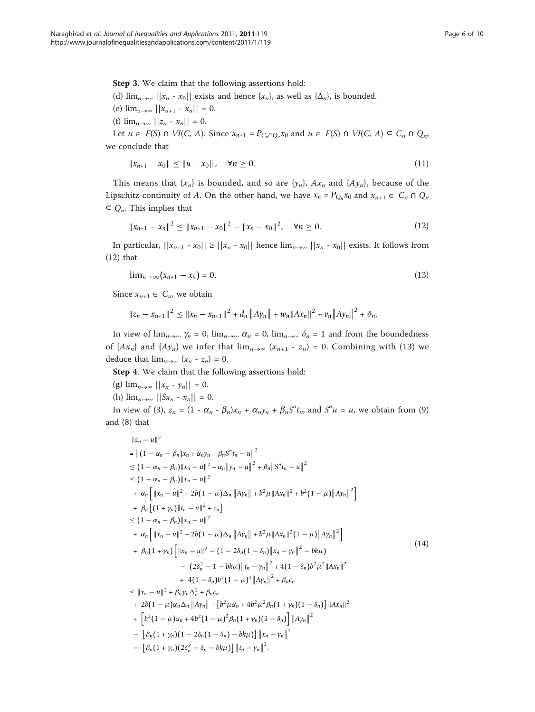Step 3. We claim that the following assertions hold: (d)  $\lim_{n\to\infty}$   $||x_n - x_0||$  exists and hence  $\{x_n\}$ , as well as  $\{\Delta_n\}$ , is bounded. (e)  $\lim_{n\to\infty}$   $||x_{n+1} - x_n|| = 0$ . (f)  $\lim_{n\to\infty}$   $||z_n - x_n|| = 0$ .

Let  $u \in F(S)$   $\cap$   $VI(C, A)$ . Since  $x_{n+1} = P_{C_n \cap Q_n} x_0$  and  $u \in F(S)$   $\cap$   $VI(C, A) \subseteq C_n \cap Q_n$ we conclude that

$$
||x_{n+1} - x_0|| \le ||u - x_0||, \quad \forall n \ge 0.
$$
 (11)

This means that  $\{x_n\}$  is bounded, and so are  $\{y_n\}$ ,  $Ax_n$  and  $\{Ay_n\}$ , because of the Lipschitz-continuity of A. On the other hand, we have  $x_n = P_{Q_n} x_0$  and  $x_{n+1} \in C_n \cap Q_n$  $\subset Q_n$ . This implies that

$$
||x_{n+1} - x_n||^2 \le ||x_{n+1} - x_0||^2 - ||x_n - x_0||^2, \quad \forall n \ge 0.
$$
 (12)

In particular,  $||x_{n+1} - x_0|| \ge ||x_n - x_0||$  hence  $\lim_{n\to\infty} ||x_n - x_0||$  exists. It follows from (12) that

$$
\lim_{n\to\infty}(x_{n+1}-x_n)=0.\tag{13}
$$

Since  $x_{n+1} \in C_n$ , we obtain

$$
||z_n - x_{n+1}||^2 \le ||x_n - x_{n+1}||^2 + d_n ||Ay_n|| + w_n ||Ax_n||^2 + v_n ||Ay_n||^2 + v_n.
$$

In view of  $\lim_{n\to\infty} \gamma_n = 0$ ,  $\lim_{n\to\infty} \alpha_n = 0$ ,  $\lim_{n\to\infty} \delta_n = 1$  and from the boundedness of  $\{Ax_n\}$  and  $\{Ay_n\}$  we infer that  $\lim_{n\to\infty} (x_{n+1} - z_n) = 0$ . Combining with (13) we deduce that  $\lim_{n\to\infty}$   $(x_n - z_n) = 0$ .

Step 4. We claim that the following assertions hold:

- (g)  $\lim_{n\to\infty}$   $||x_n y_n|| = 0$ .
- (h)  $\lim_{n\to\infty}$   $||Sx_n x_n|| = 0.$

In view of (3),  $z_n = (1 - \alpha_n - \beta_n)x_n + \alpha_n y_n + \beta_n S^n t_n$ , and  $S^n u = u$ , we obtain from (9) and (8) that

$$
||z_{n} - u||^{2}
$$
\n
$$
= ||(1 - \alpha_{n} - \beta_{n})x_{n} + \alpha_{n}y_{n} + \beta_{n}S^{n}t_{n} - u||^{2}
$$
\n
$$
\leq (1 - \alpha_{n} - \beta_{n})||x_{n} - u||^{2} + \alpha_{n}||y_{n} - u||^{2} + \beta_{n}||S^{n}t_{n} - u||^{2}
$$
\n
$$
\leq (1 - \alpha_{n} - \beta_{n})||x_{n} - u||^{2}
$$
\n
$$
+ \alpha_{n} [||x_{n} - u||^{2} + 2b(1 - \mu)\Delta_{n} ||A y_{n}|| + b^{2}\mu ||A x_{n}||^{2} + b^{2}(1 - \mu) ||A y_{n}||^{2}]
$$
\n
$$
+ \beta_{n} [(1 + \gamma_{n})||t_{n} - u||^{2} + c_{n}]
$$
\n
$$
\leq (1 - \alpha_{n} - \beta_{n})||x_{n} - u||^{2}
$$
\n
$$
+ \alpha_{n} [||x_{n} - u||^{2} + 2b(1 - \mu)\Delta_{n} ||A y_{n}|| + b^{2}\mu ||A x_{n}||^{2}(1 - \mu) ||A y_{n}||^{2}]
$$
\n
$$
+ \beta_{n} (1 + \gamma_{n}) [||x_{n} - u||^{2} - (1 - 2\delta_{n} (1 - \delta_{n}) ||x_{n} - y_{n}||^{2} - b k \mu)
$$
\n
$$
- (2\delta_{n}^{2} - 1 - b k \mu) ||t_{n} - y_{n}||^{2} + 4(1 - \delta_{n})b^{2}\mu^{2}||Ax_{n}||^{2}
$$
\n
$$
+ 4(1 - \delta_{n})b^{2}(1 - \mu)^{2} ||A y_{n}||^{2} + \beta_{n} c_{n}
$$
\n
$$
\leq ||x_{n} - u||^{2} + \beta_{n} y_{n} \Delta_{n}^{2} + \beta_{n} c_{n}
$$
\n
$$
+ 2b(1 - \mu)\alpha_{n} \Delta_{n} ||A y_{n}|| + [b^{2}\mu\alpha_{n} + 4b^{2}\mu^{2}\beta_{n} (1 + \gamma_{n}) (1 - \delta_{n})] ||Ax_{n}||^{2}
$$
\n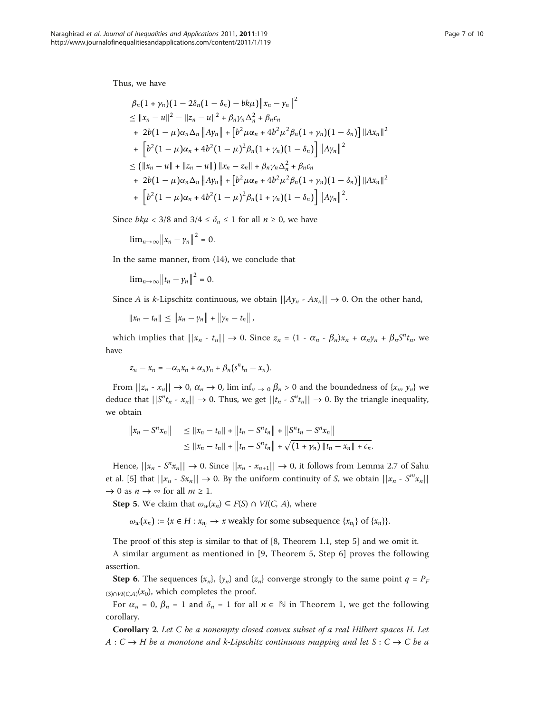Thus, we have

$$
\beta_n(1+\gamma_n)(1-2\delta_n(1-\delta_n)-bk\mu)\|x_n-\gamma_n\|^2
$$
  
\n
$$
\leq \|x_n-u\|^2 - \|z_n-u\|^2 + \beta_n\gamma_n\Delta_n^2 + \beta_n c_n
$$
  
\n+ 2b(1 -  $\mu$ ) $\alpha_n\Delta_n \|A\gamma_n\| + [b^2\mu\alpha_n + 4b^2\mu^2\beta_n(1+\gamma_n)(1-\delta_n)] \|Ax_n\|^2$   
\n+  $[b^2(1-\mu)\alpha_n + 4b^2(1-\mu)^2\beta_n(1+\gamma_n)(1-\delta_n)] \|A\gamma_n\|^2$   
\n
$$
\leq (||x_n-u||+||z_n-u||) ||x_n-z_n|| + \beta_n\gamma_n\Delta_n^2 + \beta_n c_n
$$
  
\n+ 2b(1 -  $\mu$ ) $\alpha_n\Delta_n \|A\gamma_n\| + [b^2\mu\alpha_n + 4b^2\mu^2\beta_n(1+\gamma_n)(1-\delta_n)] \|Ax_n\|^2$   
\n+  $[b^2(1-\mu)\alpha_n + 4b^2(1-\mu)^2\beta_n(1+\gamma_n)(1-\delta_n)] \|A\gamma_n\|^2$ .

Since  $bk\mu < 3/8$  and  $3/4 \le \delta_n \le 1$  for all  $n \ge 0$ , we have

$$
\lim_{n\to\infty}\left\|x_n-\gamma_n\right\|^2=0.
$$

In the same manner, from (14), we conclude that

 $\lim_{n\to\infty} ||t_n - y_n||^2 = 0.$ 

Since A is k-Lipschitz continuous, we obtain  $||Ay_n - Ax_n|| \to 0$ . On the other hand,

 $||x_n - t_n|| \le ||x_n - y_n|| + ||y_n - t_n||$ 

which implies that  $||x_n - t_n|| \to 0$ . Since  $z_n = (1 - \alpha_n - \beta_n)x_n + \alpha_n y_n + \beta_n S^n t_n$ , we have

$$
z_n-x_n=-\alpha_nx_n+\alpha_n\gamma_n+\beta_n(s^nt_n-x_n).
$$

From  $||z_n - x_n|| \to 0$ ,  $\alpha_n \to 0$ , lim inf<sub>n</sub>  $\to 0$   $\beta_n > 0$  and the boundedness of  $\{x_n, y_n\}$  we deduce that  $||S<sup>n</sup>t<sub>n</sub> - x<sub>n</sub>|| \rightarrow 0$ . Thus, we get  $||t<sub>n</sub> - S<sup>n</sup>t<sub>n</sub>|| \rightarrow 0$ . By the triangle inequality, we obtain

$$
\|x_n - S^n x_n\| \le \|x_n - t_n\| + \|t_n - S^n t_n\| + \|S^n t_n - S^n x_n\|
$$
  

$$
\le \|x_n - t_n\| + \|t_n - S^n t_n\| + \sqrt{(1 + \gamma_n) \|t_n - x_n\| + c_n}.
$$

Hence,  $||x_n - S^n x_n|| \to 0$ . Since  $||x_n - x_{n+1}|| \to 0$ , it follows from Lemma 2.7 of Sahu et al. [\[5](#page-9-0)] that  $||x_n - Sx_n|| \to 0$ . By the uniform continuity of S, we obtain  $||x_n - S^m x_n||$  $\rightarrow$  0 as  $n \rightarrow \infty$  for all  $m \ge 1$ .

**Step 5.** We claim that  $\omega_w(x_n) \subseteq F(S) \cap VI(C, A)$ , where

 $\omega_w(x_n) := \{x \in H : x_{n_j} \to x \text{ weakly for some subsequence } \{x_{n_j}\} \text{ of } \{x_n\}.$ 

The proof of this step is similar to that of [8, Theorem 1.1, step 5] and we omit it.

A similar argument as mentioned in [9, Theorem 5, Step 6] proves the following assertion.

**Step 6.** The sequences  $\{x_n\}$ ,  $\{y_n\}$  and  $\{z_n\}$  converge strongly to the same point  $q = P_F$  $(S) \cap VI(C,A)(x_0)$ , which completes the proof.

For  $\alpha_n = 0$ ,  $\beta_n = 1$  and  $\delta_n = 1$  for all  $n \in \mathbb{N}$  in Theorem 1, we get the following corollary.

Corollary 2. Let C be a nonempty closed convex subset of a real Hilbert spaces H. Let  $A: C \to H$  be a monotone and k-Lipschitz continuous mapping and let  $S: C \to C$  be a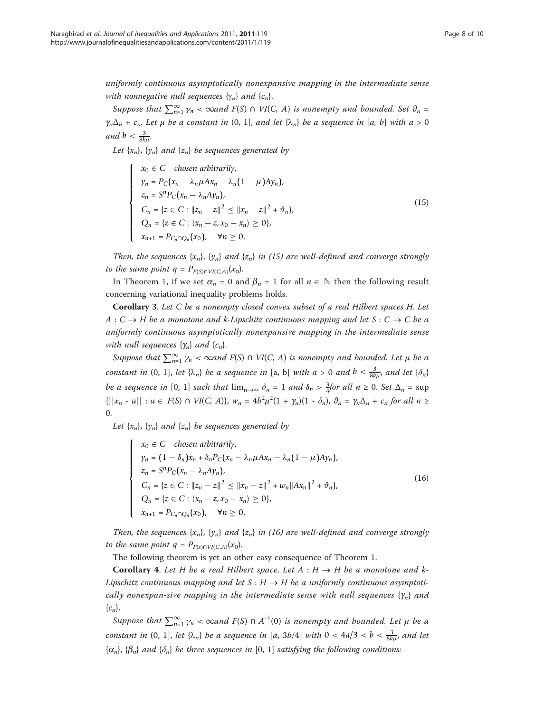uniformly continuous asymptotically nonexpansive mapping in the intermediate sense with nonnegative null sequences  $\{\gamma_n\}$  and  $\{c_n\}$ .

Suppose that  $\sum_{n=1}^{\infty} \gamma_n < \infty$  and  $F(S) \cap VI(C, A)$  is nonempty and bounded. Set  $\vartheta_n =$  $\gamma_n\Delta_n + c_n$ . Let  $\mu$  be a constant in (0, 1], and let  $\{\lambda_n\}$  be a sequence in [a, b] with  $a > 0$ and  $b < \frac{3}{8k\mu}$ .

Let  $\{x_n\}$ ,  $\{y_n\}$  and  $\{z_n\}$  be sequences generated by

$$
\begin{cases}\nx_0 \in C \quad chosen \, arbitrarily, \\
y_n = P_C(x_n - \lambda_n \mu Ax_n - \lambda_n (1 - \mu) Ay_n), \\
z_n = S^n P_C(x_n - \lambda_n Ay_n), \\
C_n = \{z \in C : ||z_n - z||^2 \le ||x_n - z||^2 + \vartheta_n\}, \\
Q_n = \{z \in C : \langle x_n - z, x_0 - x_n \rangle \ge 0\}, \\
x_{n+1} = P_{C_n \cap Q_n}(x_0), \quad \forall n \ge 0.\n\end{cases}
$$
\n(15)

Then, the sequences  $\{x_n\}$ ,  $\{y_n\}$  and  $\{z_n\}$  in (15) are well-defined and converge strongly to the same point  $q = P_{F(S) \cap VI(C,A)}(x_0)$ .

In Theorem 1, if we set  $\alpha_n = 0$  and  $\beta_n = 1$  for all  $n \in \mathbb{N}$  then the following result concerning variational inequality problems holds.

Corollary 3. Let C be a nonempty closed convex subset of a real Hilbert spaces H. Let  $A: C \to H$  be a monotone and k-Lipschitz continuous mapping and let  $S: C \to C$  be a uniformly continuous asymptotically nonexpansive mapping in the intermediate sense with null sequences  $\{\gamma_n\}$  and  $\{c_n\}$ .

Suppose that  $\sum_{n=1}^{\infty} \gamma_n < \infty$ and F(S)  $\cap$  VI(C, A) is nonempty and bounded. Let  $\mu$  be a constant in  $(0, 1]$ , let  $\{\lambda_n\}$  be a sequence in  $[a, b]$  with  $a > 0$  and  $b < \frac{3}{8k\mu}$ , and let  $\{\delta_n\}$ be a sequence in [0, 1] such that  $\lim_{n\to\infty} \delta_n = 1$  and  $\delta_n > \frac{3}{4}$  for all  $n \ge 0$ . Set  $\Delta_n = \sup$  $\{||x_n - u|| : u \in F(S) \cap VI(C, A)\}, w_n = 4b^2\mu^2(1 + \gamma_n)(1 - \delta_n), \vartheta_n = \gamma_n\Delta_n + c_n$  for all  $n \ge$ 0.

Let  $\{x_n\}$ ,  $\{y_n\}$  and  $\{z_n\}$  be sequences generated by

 $\sqrt{ }$ 

 $\frac{1}{\sqrt{2\pi}}$ 

⎪⎪⎪⎪⎪⎪⎪⎪⎪⎩

$$
x_0 \in C \quad \text{chosen arbitrarily,}
$$
\n
$$
y_n = (1 - \delta_n)x_n + \delta_n P_C(x_n - \lambda_n \mu Ax_n - \lambda_n (1 - \mu) A y_n),
$$
\n
$$
z_n = S^n P_C(x_n - \lambda_n A y_n),
$$
\n
$$
C_n = \{z \in C : ||z_n - z||^2 \le ||x_n - z||^2 + w_n ||Ax_n||^2 + \vartheta_n\},
$$
\n
$$
Q_n = \{z \in C : \langle x_n - z, x_0 - x_n \rangle \ge 0\},
$$
\n
$$
x_{n+1} = P_{C_n \cap Q_n}(x_0), \quad \forall n \ge 0.
$$
\n
$$
(16)
$$

Then, the sequences  $\{x_n\}$ ,  $\{y_n\}$  and  $\{z_n\}$  in (16) are well-defined and converge strongly to the same point  $q = P_{F(s) \cap VI(C,A)}(x_0)$ .

The following theorem is yet an other easy consequence of Theorem 1.

**Corollary 4.** Let H be a real Hilbert space. Let  $A : H \rightarrow H$  be a monotone and k-Lipschitz continuous mapping and let  $S : H \to H$  be a uniformly continuous asymptotically nonexpan-sive mapping in the intermediate sense with null sequences  $\{\gamma_n\}$  and  ${c_n}.$ 

Suppose that  $\sum_{n=1}^{\infty} \gamma_n < \infty$  and  $F(S) \cap A^{-1}(0)$  is nonempty and bounded. Let  $\mu$  be a constant in  $(0, 1]$ , let  $\{\lambda_n\}$  be a sequence in  $[a, 3b/4]$  with  $0 < 4a/3 < b < \frac{3}{8k\mu}$ , and let  ${\{\alpha_n\}}$ ,  ${\{\beta_n\}}$  and  ${\{\delta_n\}}$  be three sequences in [0, 1] satisfying the following conditions: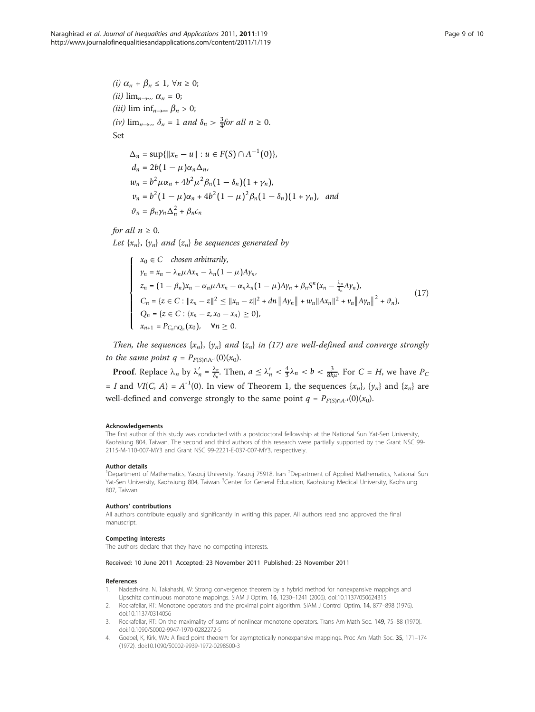<span id="page-8-0"></span>(i) 
$$
\alpha_n + \beta_n \le 1
$$
,  $\forall n \ge 0$ ;  
\n(ii)  $\lim_{n \to \infty} \alpha_n = 0$ ;  
\n(iii)  $\lim_{n \to \infty} \beta_n > 0$ ;  
\n(iv)  $\lim_{n \to \infty} \delta_n = 1$  and  $\delta_n > \frac{3}{4}$  for all  $n \ge 0$ .  
\nSet  
\n $\Delta_n = \sup{\|x_n - u\| : u \in F(S) \cap A^{-1}(0)\},$ 

$$
d_n = 2b(1 - \mu)\alpha_n \Delta_n,
$$
  
\n
$$
w_n = b^2 \mu \alpha_n + 4b^2 \mu^2 \beta_n (1 - \delta_n)(1 + \gamma_n),
$$
  
\n
$$
v_n = b^2 (1 - \mu)\alpha_n + 4b^2 (1 - \mu)^2 \beta_n (1 - \delta_n)(1 + \gamma_n),
$$
 and  
\n
$$
\vartheta_n = \beta_n \gamma_n \Delta_n^2 + \beta_n c_n
$$

for all  $n \geq 0$ .

Let  $\{x_n\}$ ,  $\{y_n\}$  and  $\{z_n\}$  be sequences generated by

$$
\begin{cases}\n x_0 \in C & \text{chosen arbitrarily,} \\
 y_n = x_n - \lambda_n \mu A x_n - \lambda_n (1 - \mu) A y_n, \\
 z_n = (1 - \beta_n) x_n - \alpha_n \mu A x_n - \alpha_n \lambda_n (1 - \mu) A y_n + \beta_n S^n (x_n - \frac{\lambda_n}{\delta_n} A y_n), \\
 C_n = \{ z \in C : ||z_n - z||^2 \le ||x_n - z||^2 + dn ||A y_n|| + w_n ||A x_n||^2 + v_n ||A y_n||^2 + \vartheta_n \}, \\
 Q_n = \{ z \in C : (x_n - z, x_0 - x_n) \ge 0 \}, \\
 x_{n+1} = P_{C_n \cap Q_n}(x_0), \quad \forall n \ge 0.\n\end{cases}
$$
\n(17)

Then, the sequences  $\{x_n\}$ ,  $\{y_n\}$  and  $\{z_n\}$  in (17) are well-defined and converge strongly to the same point  $q = P_{F(S) \cap A^{-1}}(0)(x_0)$ .

**Proof.** Replace  $\lambda_n$  by  $\lambda'_n = \frac{\lambda_n}{\delta_n}$ . Then,  $a \le \lambda'_n < \frac{4}{3}\lambda_n < b < \frac{3}{8k\mu}$ . For  $C = H$ , we have  $P_C$ = I and VI(C, A) =  $A^{-1}(0)$ . In view of Theorem 1, the sequences  $\{x_n\}$ ,  $\{y_n\}$  and  $\{z_n\}$  are well-defined and converge strongly to the same point  $q = P_{F(S) \cap A^{-1}}(0)(x_0)$ .

### Acknowledgements

The first author of this study was conducted with a postdoctoral fellowship at the National Sun Yat-Sen University, Kaohsiung 804, Taiwan. The second and third authors of this research were partially supported by the Grant NSC 99- 2115-M-110-007-MY3 and Grant NSC 99-2221-E-037-007-MY3, respectively.

#### Author details

<sup>1</sup>Department of Mathematics, Yasouj University, Yasouj 75918, Iran <sup>2</sup>Department of Applied Mathematics, National Sun Yat-Sen University, Kaohsiung 804, Taiwan <sup>3</sup>Center for General Education, Kaohsiung Medical University, Kaohsiung 807, Taiwan

#### Authors' contributions

All authors contribute equally and significantly in writing this paper. All authors read and approved the final manuscript.

#### Competing interests

The authors declare that they have no competing interests.

#### Received: 10 June 2011 Accepted: 23 November 2011 Published: 23 November 2011

### References

- 1. Nadezhkina, N, Takahashi, W: Strong convergence theorem by a hybrid method for nonexpansive mappings and Lipschitz continuous monotone mappings. SIAM J Optim. 16, 1230–1241 (2006). doi:10.1137/050624315
- 2. Rockafellar, RT: Monotone operators and the proximal point algorithm. SIAM J Control Optim. 14, 877–898 (1976). doi:10.1137/0314056
- 3. Rockafellar, RT: On the maximality of sums of nonlinear monotone operators. Trans Am Math Soc. 149, 75–88 (1970). doi:10.1090/S0002-9947-1970-0282272-5
- 4. Goebel, K, Kirk, WA: A fixed point theorem for asymptotically nonexpansive mappings. Proc Am Math Soc. 35, 171–174 (1972). doi:10.1090/S0002-9939-1972-0298500-3